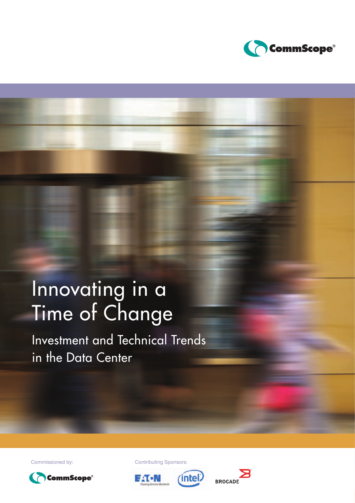

# Innovating in a Time of Change

Investment and Technical Trends in the Data Center



Commissioned by: Contributing Sponsors:





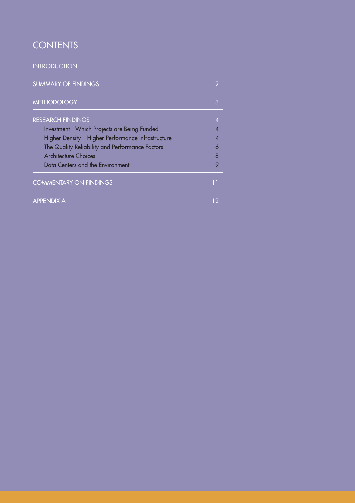## **CONTENTS**

| <b>INTRODUCTION</b>                                |    |
|----------------------------------------------------|----|
| <b>SUMMARY OF FINDINGS</b>                         |    |
| <b>METHODOLOGY</b>                                 | 3  |
| <b>RESEARCH FINDINGS</b>                           | Δ  |
| Investment - Which Projects are Being Funded       |    |
| Higher Density - Higher Performance Infrastructure |    |
| The Quality Reliability and Performance Factors    | 6  |
| <b>Architecture Choices</b>                        | 8  |
| Data Centers and the Environment                   | 9  |
| <b>COMMENTARY ON FINDINGS</b>                      | 11 |
| <b>APPENDIX A</b>                                  |    |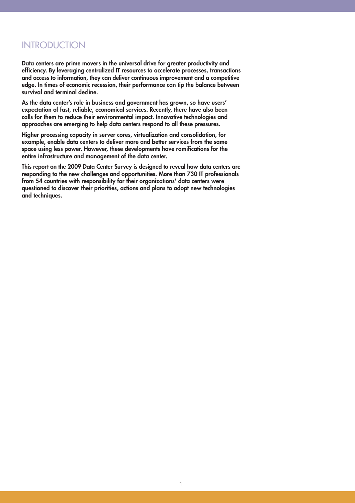### INTRODUCTION

**Data centers are prime movers in the universal drive for greater productivity and efficiency. By leveraging centralized IT resources to accelerate processes, transactions and access to information, they can deliver continuous improvement and a competitive edge. In times of economic recession, their performance can tip the balance between survival and terminal decline.** 

**As the data center's role in business and government has grown, so have users' expectation of fast, reliable, economical services. Recently, there have also been calls for them to reduce their environmental impact. Innovative technologies and approaches are emerging to help data centers respond to all these pressures.** 

**Higher processing capacity in server cores, virtualization and consolidation, for example, enable data centers to deliver more and better services from the same space using less power. However, these developments have ramifications for the entire infrastructure and management of the data center.**

**This report on the 2009 Data Center Survey is designed to reveal how data centers are responding to the new challenges and opportunities. More than 730 IT professionals from 54 countries with responsibility for their organizations' data centers were questioned to discover their priorities, actions and plans to adopt new technologies and techniques.**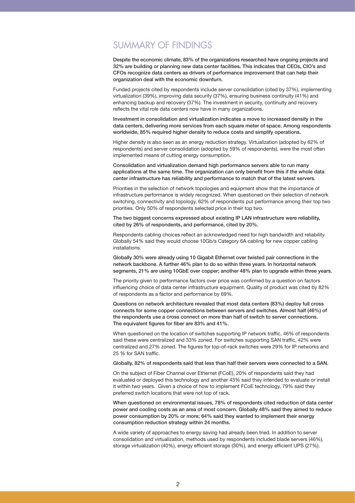### SUMMARY OF FINDINGS

**Despite the economic climate, 83% of the organizations researched have ongoing projects and 32% are building or planning new data center facilities. This indicates that CEOs, CIO's and CFOs recognize data centers as drivers of performance improvement that can help their organization deal with the economic downturn.** 

Funded projects cited by respondents include server consolidation (cited by 37%), implementing virtualization (39%), improving data security (37%), ensuring business continuity (41%) and enhancing backup and recovery (37%). The investment in security, continuity and recovery reflects the vital role data centers now have in many organizations.

**Investment in consolidation and virtualization indicates a move to increased density in the data centers, delivering more services from each square meter of space. Among respondents worldwide, 85% required higher density to reduce costs and simplify operations.**

Higher density is also seen as an energy reduction strategy. Virtualization (adopted by 62% of respondents) and server consolidation (adopted by 59% of respondents), were the most often implemented means of cutting energy consumption.

**Consolidation and virtualization demand high performance servers able to run many applications at the same time. The organization can only benefit from this if the whole data center infrastructure has reliability and performance to match that of the latest servers.**

Priorities in the selection of network topologies and equipment show that the importance of infrastructure performance is widely recognized. When questioned on their selection of network switching, connectivity and topology, 62% of respondents put performance among their top two priorities. Only 50% of respondents selected price in their top two.

**The two biggest concerns expressed about existing IP LAN infrastructure were reliability, cited by 26% of respondents, and performance, cited by 20%.** 

Respondents cabling choices reflect an acknowledged need for high bandwidth and reliability. Globally 54% said they would choose 10Gb/s Category 6A cabling for new copper cabling installations.

**Globally 30% were already using 10 Gigabit Ethernet over twisted pair connections in the network backbone. A further 46% plan to do so within three years. In horizontal network segments, 21% are using 10GbE over copper; another 48% plan to upgrade within three years.**

The priority given to performance factors over price was confirmed by a question on factors influencing choice of data center infrastructure equipment. Quality of product was cited by 82% of respondents as a factor and performance by 69%.

**Questions on network architecture revealed that most data centers (83%) deploy full cross connects for some copper connections between servers and switches. Almost half (46%) of the respondents use a cross connect on more than half of switch to server connections. The equivalent figures for fiber are 83% and 41%.** 

When questioned on the location of switches supporting IP network traffic, 46% of respondents said these were centralized and 33% zoned. For switches supporting SAN traffic, 42% were centralized and 27% zoned. The figures for top-of-rack switches were 29% for IP networks and 25 % for SAN traffic.

#### **Globally, 82% of respondents said that less than half their servers were connected to a SAN.**

On the subject of Fiber Channel over Ethernet (FCoE), 20% of respondents said they had evaluated or deployed this technology and another 43% said they intended to evaluate or install it within two years. Given a choice of how to implement FCoE technology, 79% said they preferred switch locations that were not top of rack.

**When questioned on environmental issues, 78% of respondents cited reduction of data center power and cooling costs as an area of most concern. Globally 48% said they aimed to reduce power consumption by 20% or more; 64% said they wanted to implement their energy consumption reduction strategy within 24 months.**

A wide variety of approaches to energy saving had already been tried. In addition to server consolidation and virtualization, methods used by respondents included blade servers (46%), storage virtualization (40%), energy efficient storage (30%), and energy efficient UPS (27%).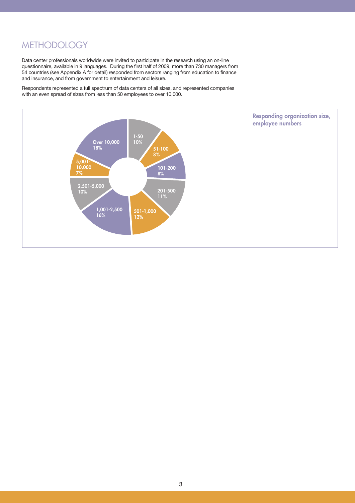### **METHODOLOGY**

Data center professionals worldwide were invited to participate in the research using an on-line questionnaire, available in 9 languages. During the first half of 2009, more than 730 managers from 54 countries (see Appendix A for detail) responded from sectors ranging from education to finance and insurance, and from government to entertainment and leisure.

Respondents represented a full spectrum of data centers of all sizes, and represented companies with an even spread of sizes from less than 50 employees to over 10,000.

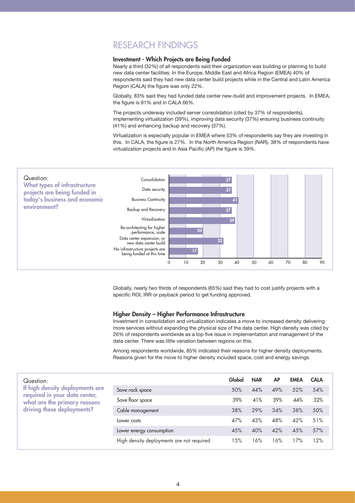### RESEARCH FINDINGS

#### **Investment - Which Projects are Being Funded**

Nearly a third (32%) of all respondents said their organization was building or planning to build new data center facilities. In the Europe, Middle East and Africa Region (EMEA) 40% of respondents said they had new data center build projects while in the Central and Latin America Region (CALA) the figure was only 22%.

Globally, 83% said they had funded data center new-build and improvement projects. In EMEA, the figure is 91% and in CALA 66%.

The projects underway included server consolidation (cited by 37% of respondents), implementing virtualization (39%), improving data security (37%) ensuring business continuity (41%) and enhancing backup and recovery (37%).

Virtualization is especially popular in EMEA where 53% of respondents say they are investing in this. In CALA, the figure is 27%. In the North America Region (NAR), 38% of respondents have virtualization projects and in Asia Pacific (AP) the figure is 39%.



Globally, nearly two thirds of respondents (65%) said they had to cost justify projects with a specific ROI, IRR or payback period to get funding approved.

#### **Higher Density – Higher Performance Infrastructure**

Investment in consolidation and virtualization indicates a move to increased density delivering more services without expanding the physical size of the data center. High density was cited by 26% of respondents worldwide as a top five issue in implementation and management of the data center. There was little variation between regions on this.

Among respondents worldwide, 85% indicated their reasons for higher density deployments. Reasons given for the move to higher density included space, cost and energy savings.

| Question:                                                     |                                           | Global | <b>NAR</b> | <b>AP</b> | <b>EMEA</b> | <b>CALA</b> |
|---------------------------------------------------------------|-------------------------------------------|--------|------------|-----------|-------------|-------------|
| If high density deployments are                               | Save rack space                           | 50%    | 44%        | 49%       | 52%         | 54%         |
| required in your data center,<br>what are the primary reasons | Save floor space                          | 39%    | 41%        | 39%       | 44%         | 32%         |
| driving these deployments?                                    | Cable management                          | 38%    | 29%        | 34%       | 38%         | 50%         |
|                                                               | Lower costs                               | 47%    | 43%        | 48%       | 42%         | 51%         |
|                                                               | Lower energy consumption                  | 45%    | 40%        | 42%       | 45%         | 57%         |
|                                                               | High density deployments are not required | 15%    | 16%        | 16%       | 17%         | 12%         |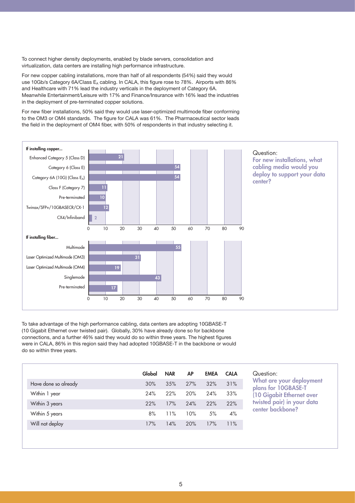To connect higher density deployments, enabled by blade servers, consolidation and virtualization, data centers are installing high performance infrastructure.

For new copper cabling installations, more than half of all respondents (54%) said they would use 10Gb/s Category 6A/Class E<sub>A</sub> cabling. In CALA, this figure rose to 78%. Airports with 86% and Healthcare with 71% lead the industry verticals in the deployment of Category 6A. Meanwhile Entertainment/Leisure with 17% and Finance/Insurance with 16% lead the industries in the deployment of pre-terminated copper solutions.

For new fiber installations, 50% said they would use laser-optimized multimode fiber conforming to the OM3 or OM4 standards. The figure for CALA was 61%. The Pharmaceutical sector leads the field in the deployment of OM4 fiber, with 50% of respondents in that industry selecting it.



To take advantage of the high performance cabling, data centers are adopting 10GBASE-T (10 Gigabit Ethernet over twisted pair). Globally, 30% have already done so for backbone connections, and a further 46% said they would do so within three years. The highest figures were in CALA, 86% in this region said they had adopted 10GBASE-T in the backbone or would do so within three years.

| Global | <b>NAR</b> | <b>AP</b> | <b>EMEA</b> | <b>CALA</b> |
|--------|------------|-----------|-------------|-------------|
| 30%    | 35%        | 27%       | 32%         | 31%         |
| 24%    | 22%        | 20%       | 24%         | 33%         |
| 22%    | 17%        | 24%       | 22%         | 22%         |
| 8%     | 11%        | 10%       | 5%          | 4%          |
| 17%    | 14%        | 20%       | 17%         | 11%         |
|        |            |           |             |             |

#### Question:

**What are your deployment plans for 10GBASE-T (10 Gigabit Ethernet over twisted pair) in your data center backbone?**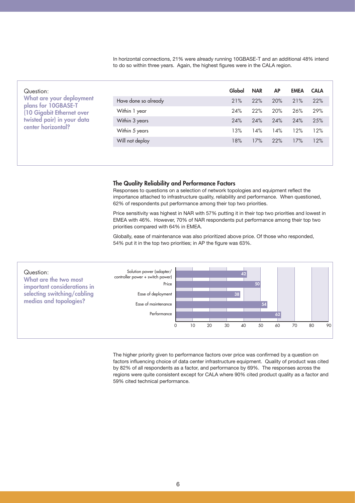In horizontal connections, 21% were already running 10GBASE-T and an additional 48% intend to do so within three years. Again, the highest figures were in the CALA region.

| Question:<br>What are your deployment<br>plans for 10GBASE-T<br>(10 Gigabit Ethernet over<br>twisted pair) in your data<br>center horizontal? |                      | Global | <b>NAR</b> | <b>AP</b> | <b>EMEA</b> | <b>CALA</b> |
|-----------------------------------------------------------------------------------------------------------------------------------------------|----------------------|--------|------------|-----------|-------------|-------------|
|                                                                                                                                               | Have done so already | 21%    | 22%        | 20%       | 21%         | 22%         |
|                                                                                                                                               | Within 1 year        | 24%    | 22%        | 20%       | 26%         | 29%         |
|                                                                                                                                               | Within 3 years       | 24%    | 24%        | 24%       | 24%         | 25%         |
|                                                                                                                                               | Within 5 years       | 13%    | 14%        | 14%       | 12%         | 12%         |
|                                                                                                                                               | Will not deploy      | 18%    | 17%        | 22%       | 17%         | 12%         |
|                                                                                                                                               |                      |        |            |           |             |             |

#### **The Quality Reliability and Performance Factors**

Responses to questions on a selection of network topologies and equipment reflect the importance attached to infrastructure quality, reliability and performance. When questioned, 62% of respondents put performance among their top two priorities.

Price sensitivity was highest in NAR with 57% putting it in their top two priorities and lowest in EMEA with 46%. However, 70% of NAR respondents put performance among their top two priorities compared with 64% in EMEA.

Globally, ease of maintenance was also prioritized above price. Of those who responded, 54% put it in the top two priorities; in AP the figure was 63%.



The higher priority given to performance factors over price was confirmed by a question on factors influencing choice of data center infrastructure equipment. Quality of product was cited by 82% of all respondents as a factor, and performance by 69%. The responses across the regions were quite consistent except for CALA where 90% cited product quality as a factor and 59% cited technical performance.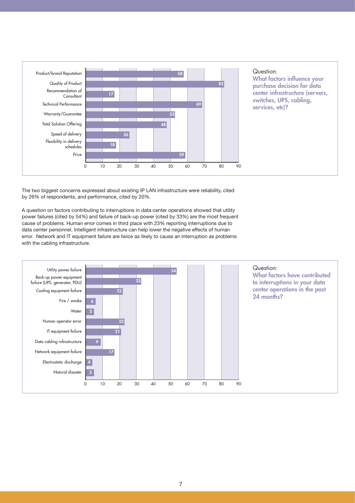

The two biggest concerns expressed about existing IP LAN infrastructure were reliability, cited by 26% of respondents, and performance, cited by 20%.

A question on factors contributing to interruptions in data center operations showed that utility power failures (cited by 54%) and failure of back-up power (cited by 33%) are the most frequent cause of problems. Human error comes in third place with 23% reporting interruptions due to data center personnel. Intelligent infrastructure can help lower the negative effects of human error. Network and IT equipment failure are twice as likely to cause an interruption as problems with the cabling infrastructure.

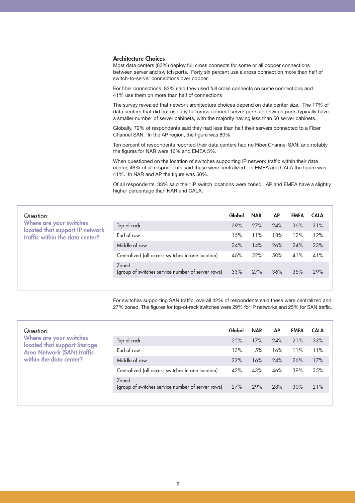#### **Architecture Choices**

Most data centers (83%) deploy full cross connects for some or all copper connections between server and switch ports. Forty six percent use a cross connect on more than half of switch-to-server connections over copper.

For fiber connections, 83% said they used full cross connects on some connections and 41% use them on more than half of connections

The survey revealed that network architecture choices depend on data center size. The 17% of data centers that did not use any full cross connect server ports and switch ports typically have a smaller number of server cabinets, with the majority having less than 50 server cabinets.

Globally, 72% of respondents said they had less than half their servers connected to a Fiber Channel SAN. In the AP region, the figure was 80%.

Ten percent of respondents reported their data centers had no Fiber Channel SAN; and notably the figures for NAR were 16% and EMEA 5%.

When questioned on the location of switches supporting IP network traffic within their data center, 46% of all respondents said these were centralized. In EMEA and CALA the figure was 41%. In NAR and AP the figure was 50%.

Of all respondents, 33% said their IP switch locations were zoned. AP and EMEA have a slightly higher percentage than NAR and CALA.

| Question:                                                  |                                                            | Global | <b>NAR</b> | <b>AP</b> | <b>EMEA</b> | <b>CALA</b> |
|------------------------------------------------------------|------------------------------------------------------------|--------|------------|-----------|-------------|-------------|
| Where are your switches<br>located that support IP network | Top of rack                                                | 29%    | 27%        | 24%       | 36%         | 31%         |
| traffic within the data center?                            | End of row                                                 | 15%    | 11%        | 18%       | 12%         | 12%         |
|                                                            | Middle of row                                              | 24%    | 14%        | 26%       | 24%         | 23%         |
|                                                            | Centralized (all access switches in one location)          | 46%    | 52%        | 50%       | 41%         | 41%         |
|                                                            | Zoned<br>(group of switches service number of server rows) | 33%    | 27%        | 36%       | 35%         | 29%         |

For switches supporting SAN traffic, overall 42% of respondents said these were centralized and 27% zoned. The figures for top-of-rack switches were 29% for IP networks and 25% for SAN traffic.

| Question:                                               |                                                            | Global | <b>NAR</b> | <b>AP</b> | <b>EMEA</b> | <b>CALA</b> |
|---------------------------------------------------------|------------------------------------------------------------|--------|------------|-----------|-------------|-------------|
| Where are your switches<br>located that support Storage | Top of rack                                                | 25%    | 17%        | 24%       | 21%         | 33%         |
| <b>Area Network (SAN) traffic</b>                       | End of row                                                 | 13%    | 5%         | 16%       | 11%         | 11%         |
| within the data center?                                 | Middle of row                                              | 22%    | 16%        | 24%       | 26%         | 17%         |
|                                                         | Centralized (all access switches in one location)          | 42%    | 43%        | 46%       | 39%         | 35%         |
|                                                         | Zoned<br>(group of switches service number of server rows) | 27%    | 29%        | 28%       | 30%         | 21%         |
|                                                         |                                                            |        |            |           |             |             |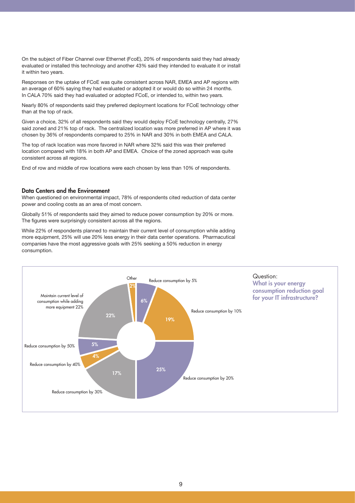On the subject of Fiber Channel over Ethernet (FcoE), 20% of respondents said they had already evaluated or installed this technology and another 43% said they intended to evaluate it or install it within two years.

Responses on the uptake of FCoE was quite consistent across NAR, EMEA and AP regions with an average of 60% saying they had evaluated or adopted it or would do so within 24 months. In CALA 70% said they had evaluated or adopted FCoE, or intended to, within two years.

Nearly 80% of respondents said they preferred deployment locations for FCoE technology other than at the top of rack.

Given a choice, 32% of all respondents said they would deploy FCoE technology centrally, 27% said zoned and 21% top of rack. The centralized location was more preferred in AP where it was chosen by 36% of respondents compared to 25% in NAR and 30% in both EMEA and CALA.

The top of rack location was more favored in NAR where 32% said this was their preferred location compared with 18% in both AP and EMEA. Choice of the zoned approach was quite consistent across all regions.

End of row and middle of row locations were each chosen by less than 10% of respondents.

#### **Data Centers and the Environment**

When questioned on environmental impact, 78% of respondents cited reduction of data center power and cooling costs as an area of most concern.

Globally 51% of respondents said they aimed to reduce power consumption by 20% or more. The figures were surprisingly consistent across all the regions.

While 22% of respondents planned to maintain their current level of consumption while adding more equipment, 25% will use 20% less energy in their data center operations. Pharmacutical companies have the most aggressive goals with 25% seeking a 50% reduction in energy consumption.

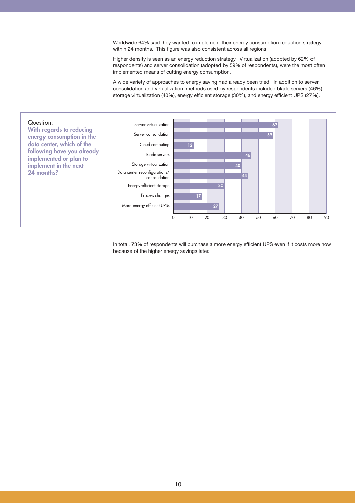Worldwide 64% said they wanted to implement their energy consumption reduction strategy within 24 months. This figure was also consistent across all regions.

Higher density is seen as an energy reduction strategy. Virtualization (adopted by 62% of respondents) and server consolidation (adopted by 59% of respondents), were the most often implemented means of cutting energy consumption.

A wide variety of approaches to energy saving had already been tried. In addition to server consolidation and virtualization, methods used by respondents included blade servers (46%), storage virtualization (40%), energy efficient storage (30%), and energy efficient UPS (27%).



In total, 73% of respondents will purchase a more energy efficient UPS even if it costs more now because of the higher energy savings later.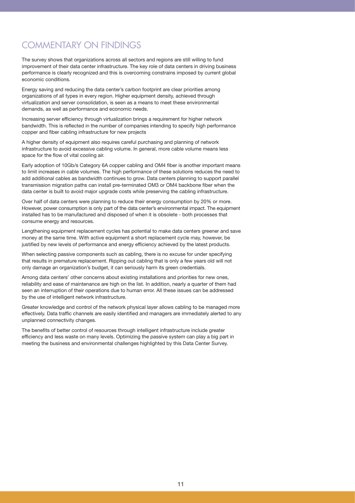### COMMENTARY ON FINDINGS

The survey shows that organizations across all sectors and regions are still willing to fund improvement of their data center infrastructure. The key role of data centers in driving business performance is clearly recognized and this is overcoming constrains imposed by current global economic conditions.

Energy saving and reducing the data center's carbon footprint are clear priorities among organizations of all types in every region. Higher equipment density, achieved through virtualization and server consolidation, is seen as a means to meet these environmental demands, as well as performance and economic needs.

Increasing server efficiency through virtualization brings a requirement for higher network bandwidth. This is reflected in the number of companies intending to specify high performance copper and fiber cabling infrastructure for new projects

A higher density of equipment also requires careful purchasing and planning of network infrastructure to avoid excessive cabling volume. In general, more cable volume means less space for the flow of vital cooling air.

Early adoption of 10Gb/s Category 6A copper cabling and OM4 fiber is another important means to limit increases in cable volumes. The high performance of these solutions reduces the need to add additional cables as bandwidth continues to grow. Data centers planning to support parallel transmission migration paths can install pre-terminated OM3 or OM4 backbone fiber when the data center is built to avoid major upgrade costs while preserving the cabling infrastructure.

Over half of data centers were planning to reduce their energy consumption by 20% or more. However, power consumption is only part of the data center's environmental impact. The equipment installed has to be manufactured and disposed of when it is obsolete - both processes that consume energy and resources.

Lengthening equipment replacement cycles has potential to make data centers greener and save money at the same time. With active equipment a short replacement cycle may, however, be justified by new levels of performance and energy efficiency achieved by the latest products.

When selecting passive components such as cabling, there is no excuse for under specifying that results in premature replacement. Ripping out cabling that is only a few years old will not only damage an organization's budget, it can seriously harm its green credentials.

Among data centers' other concerns about existing installations and priorities for new ones, reliability and ease of maintenance are high on the list. In addition, nearly a quarter of them had seen an interruption of their operations due to human error. All these issues can be addressed by the use of intelligent network infrastructure.

Greater knowledge and control of the network physical layer allows cabling to be managed more effectively. Data traffic channels are easily identified and managers are immediately alerted to any unplanned connectivity changes.

The benefits of better control of resources through intelligent infrastructure include greater efficiency and less waste on many levels. Optimizing the passive system can play a big part in meeting the business and environmental challenges highlighted by this Data Center Survey.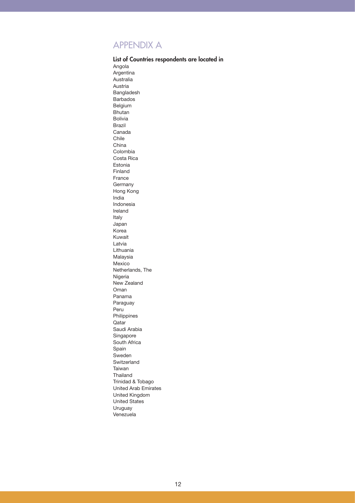### APPENDIX A

**List of Countries respondents are located in** Angola Argentina Australia Austria Bangladesh Barbados Belgium Bhutan Bolivia Brazil Canada Chile China Colombia Costa Rica Estonia Finland France **Germany** Hong Kong India Indonesia Ireland Italy Japan Korea Kuwait Latvia Lithuania Malaysia Mexico Netherlands, The Nigeria New Zealand Oman Panama Paraguay Peru Philippines Qatar Saudi Arabia Singapore South Africa Spain Sweden Switzerland Taiwan Thailand Trinidad & Tobago United Arab Emirates United Kingdom United States Uruguay Venezuela